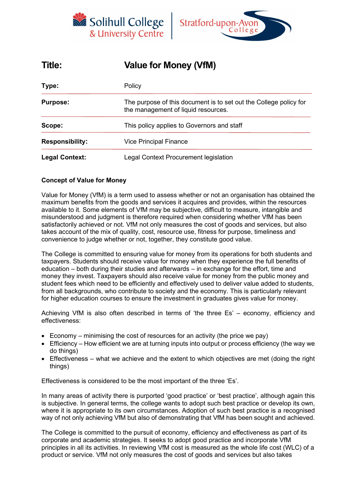



| Title:                 | <b>Value for Money (VfM)</b>                                                                             |  |  |
|------------------------|----------------------------------------------------------------------------------------------------------|--|--|
| Type:                  | Policy                                                                                                   |  |  |
| <b>Purpose:</b>        | The purpose of this document is to set out the College policy for<br>the management of liquid resources. |  |  |
| Scope:                 | This policy applies to Governors and staff                                                               |  |  |
| <b>Responsibility:</b> | <b>Vice Principal Finance</b>                                                                            |  |  |
| <b>Legal Context:</b>  | Legal Context Procurement legislation                                                                    |  |  |

# **Concept of Value for Money**

Value for Money (VfM) is a term used to assess whether or not an organisation has obtained the maximum benefits from the goods and services it acquires and provides, within the resources available to it. Some elements of VfM may be subjective, difficult to measure, intangible and misunderstood and judgment is therefore required when considering whether VfM has been satisfactorily achieved or not. VfM not only measures the cost of goods and services, but also takes account of the mix of quality, cost, resource use, fitness for purpose, timeliness and convenience to judge whether or not, together, they constitute good value.

The College is committed to ensuring value for money from its operations for both students and taxpayers. Students should receive value for money when they experience the full benefits of education – both during their studies and afterwards – in exchange for the effort, time and money they invest. Taxpayers should also receive value for money from the public money and student fees which need to be efficiently and effectively used to deliver value added to students, from all backgrounds, who contribute to society and the economy. This is particularly relevant for higher education courses to ensure the investment in graduates gives value for money.

Achieving VfM is also often described in terms of 'the three Es' – economy, efficiency and effectiveness:

- Economy minimising the cost of resources for an activity (the price we pay)
- Efficiency How efficient we are at turning inputs into output or process efficiency (the way we do things)
- Effectiveness what we achieve and the extent to which objectives are met (doing the right things)

Effectiveness is considered to be the most important of the three 'Es'.

In many areas of activity there is purported 'good practice' or 'best practice', although again this is subjective. In general terms, the college wants to adopt such best practice or develop its own, where it is appropriate to its own circumstances. Adoption of such best practice is a recognised way of not only achieving VfM but also of demonstrating that VfM has been sought and achieved.

The College is committed to the pursuit of economy, efficiency and effectiveness as part of its corporate and academic strategies. It seeks to adopt good practice and incorporate VfM principles in all its activities. In reviewing VfM cost is measured as the whole life cost (WLC) of a product or service. VfM not only measures the cost of goods and services but also takes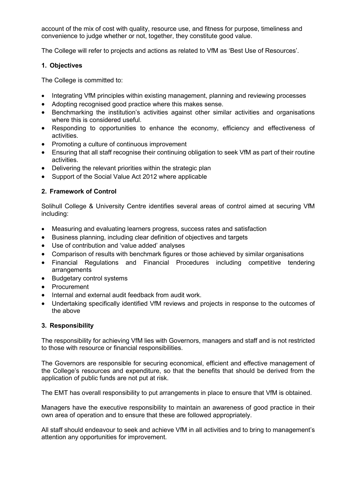account of the mix of cost with quality, resource use, and fitness for purpose, timeliness and convenience to judge whether or not, together, they constitute good value.

The College will refer to projects and actions as related to VfM as 'Best Use of Resources'.

#### **1. Objectives**

The College is committed to:

- Integrating VfM principles within existing management, planning and reviewing processes
- Adopting recognised good practice where this makes sense.
- Benchmarking the institution's activities against other similar activities and organisations where this is considered useful.
- Responding to opportunities to enhance the economy, efficiency and effectiveness of activities.
- Promoting a culture of continuous improvement
- Ensuring that all staff recognise their continuing obligation to seek VfM as part of their routine activities.
- Delivering the relevant priorities within the strategic plan
- Support of the Social Value Act 2012 where applicable

### **2. Framework of Control**

Solihull College & University Centre identifies several areas of control aimed at securing VfM including:

- Measuring and evaluating learners progress, success rates and satisfaction
- Business planning, including clear definition of objectives and targets
- Use of contribution and 'value added' analyses
- Comparison of results with benchmark figures or those achieved by similar organisations
- Financial Regulations and Financial Procedures including competitive tendering arrangements
- Budgetary control systems
- Procurement
- Internal and external audit feedback from audit work.
- Undertaking specifically identified VfM reviews and projects in response to the outcomes of the above

#### **3. Responsibility**

The responsibility for achieving VfM lies with Governors, managers and staff and is not restricted to those with resource or financial responsibilities.

The Governors are responsible for securing economical, efficient and effective management of the College's resources and expenditure, so that the benefits that should be derived from the application of public funds are not put at risk.

The EMT has overall responsibility to put arrangements in place to ensure that VfM is obtained.

Managers have the executive responsibility to maintain an awareness of good practice in their own area of operation and to ensure that these are followed appropriately.

All staff should endeavour to seek and achieve VfM in all activities and to bring to management's attention any opportunities for improvement.